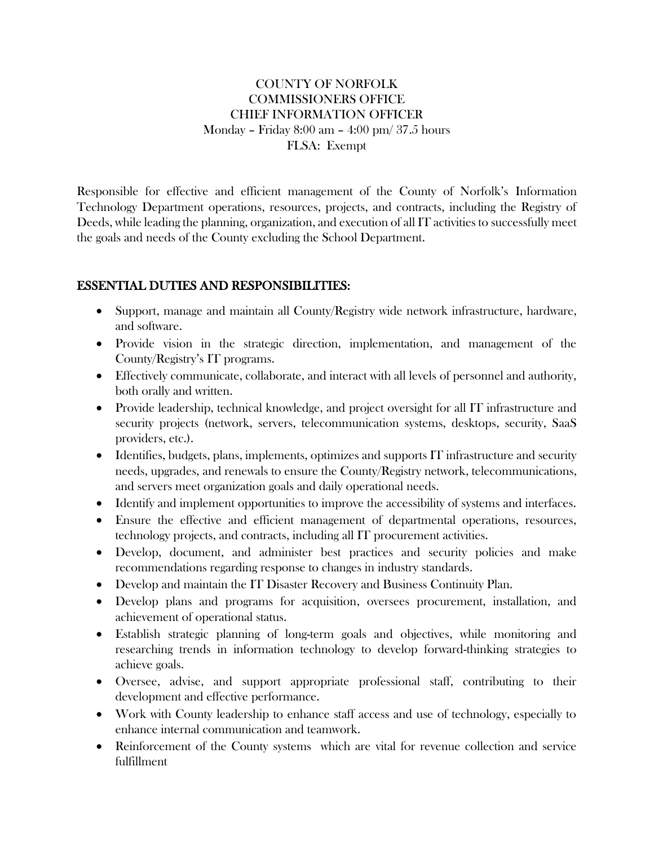### COUNTY OF NORFOLK COMMISSIONERS OFFICE CHIEF INFORMATION OFFICER Monday – Friday 8:00 am – 4:00 pm/ 37.5 hours FLSA: Exempt

Responsible for effective and efficient management of the County of Norfolk's Information Technology Department operations, resources, projects, and contracts, including the Registry of Deeds, while leading the planning, organization, and execution of all IT activities to successfully meet the goals and needs of the County excluding the School Department.

## ESSENTIAL DUTIES AND RESPONSIBILITIES:

- Support, manage and maintain all County/Registry wide network infrastructure, hardware, and software.
- Provide vision in the strategic direction, implementation, and management of the County/Registry's IT programs.
- Effectively communicate, collaborate, and interact with all levels of personnel and authority, both orally and written.
- Provide leadership, technical knowledge, and project oversight for all IT infrastructure and security projects (network, servers, telecommunication systems, desktops, security, SaaS providers, etc.).
- Identifies, budgets, plans, implements, optimizes and supports IT infrastructure and security needs, upgrades, and renewals to ensure the County/Registry network, telecommunications, and servers meet organization goals and daily operational needs.
- Identify and implement opportunities to improve the accessibility of systems and interfaces.
- Ensure the effective and efficient management of departmental operations, resources, technology projects, and contracts, including all IT procurement activities.
- Develop, document, and administer best practices and security policies and make recommendations regarding response to changes in industry standards.
- Develop and maintain the IT Disaster Recovery and Business Continuity Plan.
- Develop plans and programs for acquisition, oversees procurement, installation, and achievement of operational status.
- Establish strategic planning of long-term goals and objectives, while monitoring and researching trends in information technology to develop forward-thinking strategies to achieve goals.
- Oversee, advise, and support appropriate professional staff, contributing to their development and effective performance.
- Work with County leadership to enhance staff access and use of technology, especially to enhance internal communication and teamwork.
- Reinforcement of the County systems which are vital for revenue collection and service fulfillment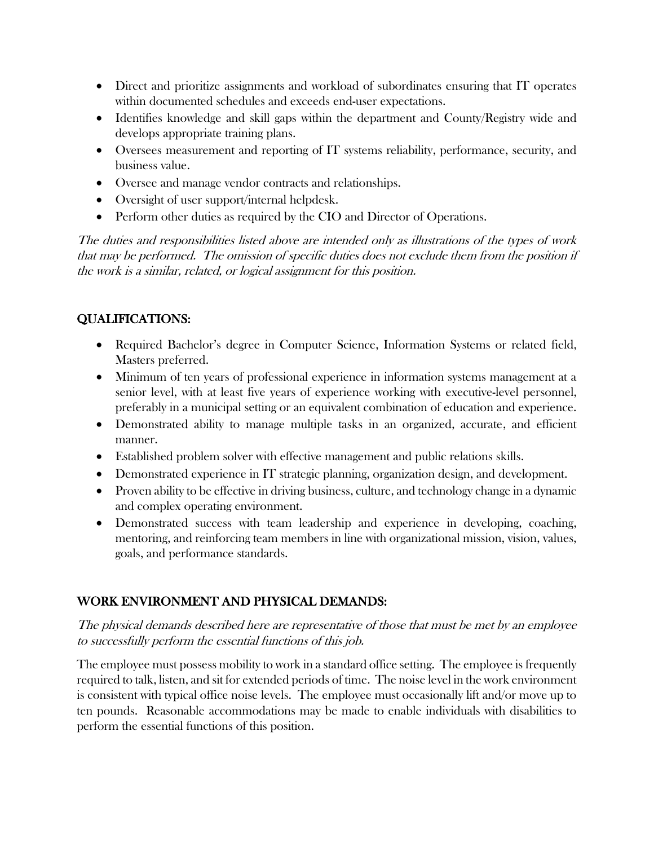- Direct and prioritize assignments and workload of subordinates ensuring that IT operates within documented schedules and exceeds end-user expectations.
- Identifies knowledge and skill gaps within the department and County/Registry wide and develops appropriate training plans.
- Oversees measurement and reporting of IT systems reliability, performance, security, and business value.
- Oversee and manage vendor contracts and relationships.
- Oversight of user support/internal helpdesk.
- Perform other duties as required by the CIO and Director of Operations.

The duties and responsibilities listed above are intended only as illustrations of the types of work that may be performed. The omission of specific duties does not exclude them from the position if the work is a similar, related, or logical assignment for this position.

# QUALIFICATIONS:

- Required Bachelor's degree in Computer Science, Information Systems or related field, Masters preferred.
- Minimum of ten years of professional experience in information systems management at a senior level, with at least five years of experience working with executive-level personnel, preferably in a municipal setting or an equivalent combination of education and experience.
- Demonstrated ability to manage multiple tasks in an organized, accurate, and efficient manner.
- Established problem solver with effective management and public relations skills.
- Demonstrated experience in IT strategic planning, organization design, and development.
- Proven ability to be effective in driving business, culture, and technology change in a dynamic and complex operating environment.
- Demonstrated success with team leadership and experience in developing, coaching, mentoring, and reinforcing team members in line with organizational mission, vision, values, goals, and performance standards.

# WORK ENVIRONMENT AND PHYSICAL DEMANDS:

The physical demands described here are representative of those that must be met by an employee to successfully perform the essential functions of this job.

The employee must possess mobility to work in a standard office setting. The employee is frequently required to talk, listen, and sit for extended periods of time. The noise level in the work environment is consistent with typical office noise levels. The employee must occasionally lift and/or move up to ten pounds. Reasonable accommodations may be made to enable individuals with disabilities to perform the essential functions of this position.